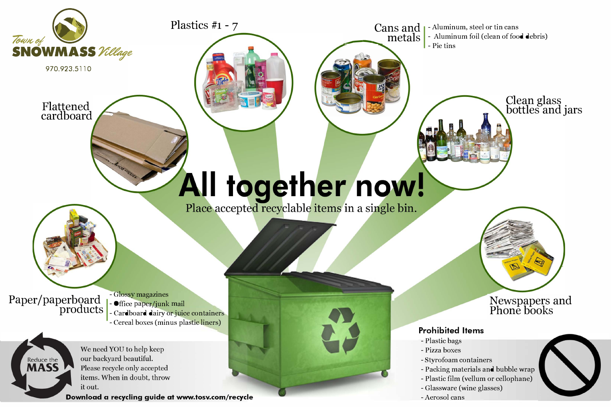

We need YOU to help keep our backyard beautiful. Please recycle only accepted items. When in doubt, throw it out.

Reduce the **AASS** 

Download a recycling guide at www.tosv.com/recycle

#### **Prohibited Items**

- Plastic bags
- Pizza boxes
- Styrofoam containers
- Packing materials and bubble wrap
- Plastic film (vellum or cellophane)
- Glassware (wine glasses)
- Aerosol cans